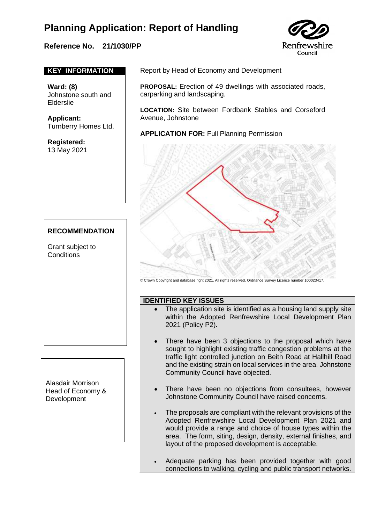### **Reference No. 21/1030/PP**



#### **KEY INFORMATION**

**Ward: (8)**  Johnstone south and Elderslie

**Applicant:**  Turnberry Homes Ltd.

**Registered:**  13 May 2021

#### **RECOMMENDATION**

Grant subject to **Conditions** 

Alasdair Morrison Head of Economy & **Development** 

Report by Head of Economy and Development

**PROPOSAL:** Erection of 49 dwellings with associated roads, carparking and landscaping.

**LOCATION:** Site between Fordbank Stables and Corseford Avenue, Johnstone

**APPLICATION FOR:** Full Planning Permission



© Crown Copyright and database right 2021. All rights reserved. Ordnance Survey Licence number 100023417.

#### **IDENTIFIED KEY ISSUES**

- The application site is identified as a housing land supply site within the Adopted Renfrewshire Local Development Plan 2021 (Policy P2).
	- There have been 3 objections to the proposal which have sought to highlight existing traffic congestion problems at the traffic light controlled junction on Beith Road at Hallhill Road and the existing strain on local services in the area. Johnstone Community Council have objected.
- There have been no objections from consultees, however Johnstone Community Council have raised concerns.
- The proposals are compliant with the relevant provisions of the Adopted Renfrewshire Local Development Plan 2021 and would provide a range and choice of house types within the area. The form, siting, design, density, external finishes, and layout of the proposed development is acceptable.
- Adequate parking has been provided together with good connections to walking, cycling and public transport networks.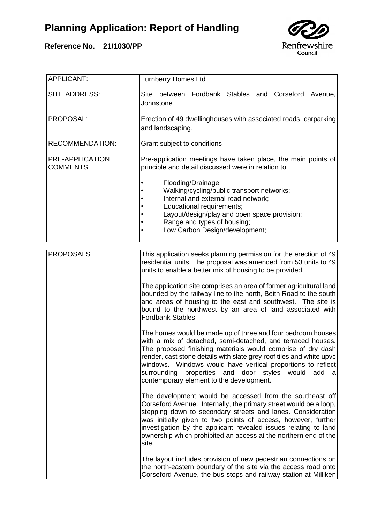



| <b>APPLICANT:</b>                  | <b>Turnberry Homes Ltd</b>                                                                                                                                                                                                                                                                                                                                                                                                         |
|------------------------------------|------------------------------------------------------------------------------------------------------------------------------------------------------------------------------------------------------------------------------------------------------------------------------------------------------------------------------------------------------------------------------------------------------------------------------------|
| SITE ADDRESS:                      | Fordbank Stables and Corseford<br>Site<br>between<br>Avenue,<br>Johnstone                                                                                                                                                                                                                                                                                                                                                          |
| PROPOSAL:                          | Erection of 49 dwellinghouses with associated roads, carparking<br>and landscaping.                                                                                                                                                                                                                                                                                                                                                |
| <b>RECOMMENDATION:</b>             | Grant subject to conditions                                                                                                                                                                                                                                                                                                                                                                                                        |
| PRE-APPLICATION<br><b>COMMENTS</b> | Pre-application meetings have taken place, the main points of<br>principle and detail discussed were in relation to:                                                                                                                                                                                                                                                                                                               |
|                                    | Flooding/Drainage;<br>Walking/cycling/public transport networks;<br>Internal and external road network;<br>Educational requirements;<br>Layout/design/play and open space provision;<br>Range and types of housing;<br>Low Carbon Design/development;                                                                                                                                                                              |
| <b>PROPOSALS</b>                   | This application seeks planning permission for the erection of 49<br>residential units. The proposal was amended from 53 units to 49<br>units to enable a better mix of housing to be provided.                                                                                                                                                                                                                                    |
|                                    | The application site comprises an area of former agricultural land<br>bounded by the railway line to the north, Beith Road to the south<br>and areas of housing to the east and southwest. The site is<br>bound to the northwest by an area of land associated with<br>Fordbank Stables.                                                                                                                                           |
|                                    | The homes would be made up of three and four bedroom houses<br>with a mix of detached, semi-detached, and terraced houses.<br>The proposed finishing materials would comprise of dry dash<br>render, cast stone details with slate grey roof tiles and white upvc<br>windows. Windows would have vertical proportions to reflect<br>surrounding properties and door styles would add a<br>contemporary element to the development. |
|                                    | The development would be accessed from the southeast off<br>Corseford Avenue. Internally, the primary street would be a loop,<br>stepping down to secondary streets and lanes. Consideration<br>was initially given to two points of access, however, further<br>investigation by the applicant revealed issues relating to land<br>ownership which prohibited an access at the northern end of the<br>site.                       |
|                                    | The layout includes provision of new pedestrian connections on<br>the north-eastern boundary of the site via the access road onto<br>Corseford Avenue, the bus stops and railway station at Milliken                                                                                                                                                                                                                               |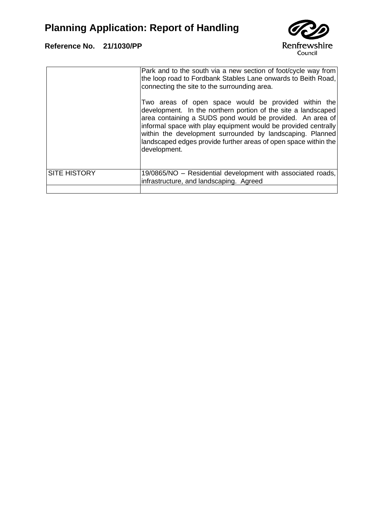

|                     | Park and to the south via a new section of foot/cycle way from<br>the loop road to Fordbank Stables Lane onwards to Beith Road,<br>connecting the site to the surrounding area.                                                                                                                                                                                                                      |
|---------------------|------------------------------------------------------------------------------------------------------------------------------------------------------------------------------------------------------------------------------------------------------------------------------------------------------------------------------------------------------------------------------------------------------|
|                     | Two areas of open space would be provided within the<br>development. In the northern portion of the site a landscaped<br>area containing a SUDS pond would be provided. An area of<br>informal space with play equipment would be provided centrally<br>within the development surrounded by landscaping. Planned<br>landscaped edges provide further areas of open space within the<br>development. |
| <b>SITE HISTORY</b> | 19/0865/NO – Residential development with associated roads,<br>infrastructure, and landscaping. Agreed                                                                                                                                                                                                                                                                                               |
|                     |                                                                                                                                                                                                                                                                                                                                                                                                      |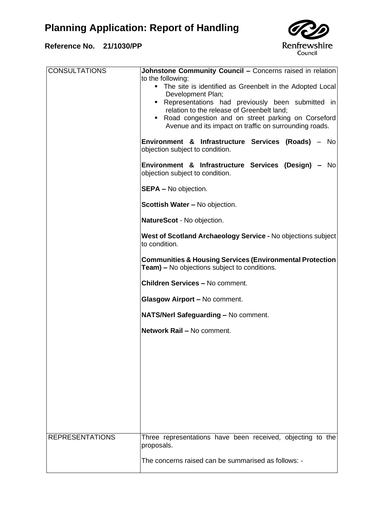

| <b>CONSULTATIONS</b>   | <b>Johnstone Community Council - Concerns raised in relation</b><br>to the following:<br>• The site is identified as Greenbelt in the Adopted Local<br>Development Plan;<br>• Representations had previously been submitted in<br>relation to the release of Greenbelt land;<br>• Road congestion and on street parking on Corseford<br>Avenue and its impact on traffic on surrounding roads.<br>Environment & Infrastructure Services (Roads) - No |
|------------------------|------------------------------------------------------------------------------------------------------------------------------------------------------------------------------------------------------------------------------------------------------------------------------------------------------------------------------------------------------------------------------------------------------------------------------------------------------|
|                        | objection subject to condition.                                                                                                                                                                                                                                                                                                                                                                                                                      |
|                        | Environment & Infrastructure Services (Design) - No<br>objection subject to condition.                                                                                                                                                                                                                                                                                                                                                               |
|                        | <b>SEPA - No objection.</b>                                                                                                                                                                                                                                                                                                                                                                                                                          |
|                        | <b>Scottish Water - No objection.</b>                                                                                                                                                                                                                                                                                                                                                                                                                |
|                        | NatureScot - No objection.                                                                                                                                                                                                                                                                                                                                                                                                                           |
|                        | West of Scotland Archaeology Service - No objections subject<br>to condition.                                                                                                                                                                                                                                                                                                                                                                        |
|                        | <b>Communities &amp; Housing Services (Environmental Protection</b><br><b>Team)</b> – No objections subject to conditions.                                                                                                                                                                                                                                                                                                                           |
|                        | <b>Children Services - No comment.</b>                                                                                                                                                                                                                                                                                                                                                                                                               |
|                        | Glasgow Airport - No comment.                                                                                                                                                                                                                                                                                                                                                                                                                        |
|                        | NATS/Nerl Safeguarding - No comment.                                                                                                                                                                                                                                                                                                                                                                                                                 |
|                        | Network Rail - No comment.                                                                                                                                                                                                                                                                                                                                                                                                                           |
|                        |                                                                                                                                                                                                                                                                                                                                                                                                                                                      |
|                        |                                                                                                                                                                                                                                                                                                                                                                                                                                                      |
|                        |                                                                                                                                                                                                                                                                                                                                                                                                                                                      |
|                        |                                                                                                                                                                                                                                                                                                                                                                                                                                                      |
|                        |                                                                                                                                                                                                                                                                                                                                                                                                                                                      |
| <b>REPRESENTATIONS</b> | Three representations have been received, objecting to the<br>proposals.                                                                                                                                                                                                                                                                                                                                                                             |
|                        | The concerns raised can be summarised as follows: -                                                                                                                                                                                                                                                                                                                                                                                                  |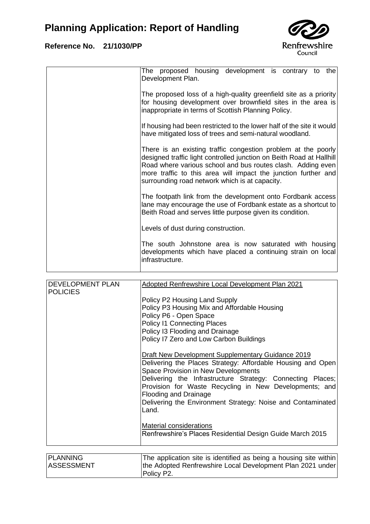

| The proposed housing development is contrary to the<br>Development Plan.                                                                                                                                                                                                                                                 |
|--------------------------------------------------------------------------------------------------------------------------------------------------------------------------------------------------------------------------------------------------------------------------------------------------------------------------|
| The proposed loss of a high-quality greenfield site as a priority<br>for housing development over brownfield sites in the area is<br>inappropriate in terms of Scottish Planning Policy.                                                                                                                                 |
| If housing had been restricted to the lower half of the site it would<br>have mitigated loss of trees and semi-natural woodland.                                                                                                                                                                                         |
| There is an existing traffic congestion problem at the poorly<br>designed traffic light controlled junction on Beith Road at Hallhill<br>Road where various school and bus routes clash. Adding even<br>more traffic to this area will impact the junction further and<br>surrounding road network which is at capacity. |
| The footpath link from the development onto Fordbank access<br>lane may encourage the use of Fordbank estate as a shortcut to<br>Beith Road and serves little purpose given its condition.                                                                                                                               |
| Levels of dust during construction.                                                                                                                                                                                                                                                                                      |
| The south Johnstone area is now saturated with housing<br>developments which have placed a continuing strain on local<br>infrastructure.                                                                                                                                                                                 |
|                                                                                                                                                                                                                                                                                                                          |

| <b>DEVELOPMENT PLAN</b> | Adopted Renfrewshire Local Development Plan 2021                                                                                                                                                                                                                                                                                                                                        |
|-------------------------|-----------------------------------------------------------------------------------------------------------------------------------------------------------------------------------------------------------------------------------------------------------------------------------------------------------------------------------------------------------------------------------------|
| <b>POLICIES</b>         | Policy P2 Housing Land Supply<br>Policy P3 Housing Mix and Affordable Housing<br>Policy P6 - Open Space<br><b>Policy I1 Connecting Places</b><br>Policy I3 Flooding and Drainage<br>Policy I7 Zero and Low Carbon Buildings                                                                                                                                                             |
|                         | Draft New Development Supplementary Guidance 2019<br>Delivering the Places Strategy: Affordable Housing and Open<br>Space Provision in New Developments<br>Delivering the Infrastructure Strategy: Connecting Places;<br>Provision for Waste Recycling in New Developments; and<br><b>Flooding and Drainage</b><br>Delivering the Environment Strategy: Noise and Contaminated<br>Land. |
|                         | <b>Material considerations</b><br>Renfrewshire's Places Residential Design Guide March 2015                                                                                                                                                                                                                                                                                             |
| PI ANNING               | The application site is identified as being a housing site within                                                                                                                                                                                                                                                                                                                       |

| <b>PLANNING</b>   | The application site is identified as being a housing site within |
|-------------------|-------------------------------------------------------------------|
| <b>ASSESSMENT</b> | the Adopted Renfrewshire Local Development Plan 2021 under        |
|                   | Policy P2.                                                        |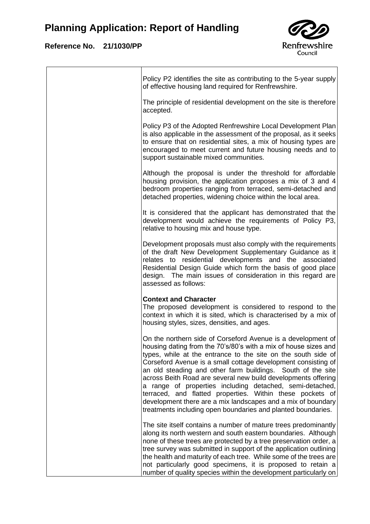

| Policy P2 identifies the site as contributing to the 5-year supply<br>of effective housing land required for Renfrewshire.                                                                                                                                                                                                                                                                                                                                                                                                                                                                                                                                 |
|------------------------------------------------------------------------------------------------------------------------------------------------------------------------------------------------------------------------------------------------------------------------------------------------------------------------------------------------------------------------------------------------------------------------------------------------------------------------------------------------------------------------------------------------------------------------------------------------------------------------------------------------------------|
| The principle of residential development on the site is therefore<br>accepted.                                                                                                                                                                                                                                                                                                                                                                                                                                                                                                                                                                             |
| Policy P3 of the Adopted Renfrewshire Local Development Plan<br>is also applicable in the assessment of the proposal, as it seeks<br>to ensure that on residential sites, a mix of housing types are<br>encouraged to meet current and future housing needs and to<br>support sustainable mixed communities.                                                                                                                                                                                                                                                                                                                                               |
| Although the proposal is under the threshold for affordable<br>housing provision, the application proposes a mix of 3 and 4<br>bedroom properties ranging from terraced, semi-detached and<br>detached properties, widening choice within the local area.                                                                                                                                                                                                                                                                                                                                                                                                  |
| It is considered that the applicant has demonstrated that the<br>development would achieve the requirements of Policy P3,<br>relative to housing mix and house type.                                                                                                                                                                                                                                                                                                                                                                                                                                                                                       |
| Development proposals must also comply with the requirements<br>of the draft New Development Supplementary Guidance as it<br>relates to residential developments and the associated<br>Residential Design Guide which form the basis of good place<br>design. The main issues of consideration in this regard are<br>assessed as follows:                                                                                                                                                                                                                                                                                                                  |
| <b>Context and Character</b><br>The proposed development is considered to respond to the<br>context in which it is sited, which is characterised by a mix of<br>housing styles, sizes, densities, and ages.                                                                                                                                                                                                                                                                                                                                                                                                                                                |
| On the northern side of Corseford Avenue is a development of<br>housing dating from the 70's/80's with a mix of house sizes and<br>types, while at the entrance to the site on the south side of<br>Corseford Avenue is a small cottage development consisting of<br>an old steading and other farm buildings. South of the site<br>across Beith Road are several new build developments offering<br>a range of properties including detached, semi-detached,<br>terraced, and flatted properties. Within these pockets of<br>development there are a mix landscapes and a mix of boundary<br>treatments including open boundaries and planted boundaries. |
| The site itself contains a number of mature trees predominantly<br>along its north western and south eastern boundaries. Although<br>none of these trees are protected by a tree preservation order, a<br>tree survey was submitted in support of the application outlining<br>the health and maturity of each tree. While some of the trees are<br>not particularly good specimens, it is proposed to retain a<br>number of quality species within the development particularly on                                                                                                                                                                        |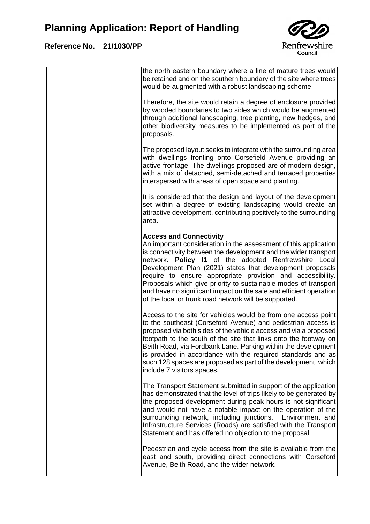

| the north eastern boundary where a line of mature trees would<br>be retained and on the southern boundary of the site where trees<br>would be augmented with a robust landscaping scheme.                                                                                                                                                                                                                                                                                                                                                                  |
|------------------------------------------------------------------------------------------------------------------------------------------------------------------------------------------------------------------------------------------------------------------------------------------------------------------------------------------------------------------------------------------------------------------------------------------------------------------------------------------------------------------------------------------------------------|
| Therefore, the site would retain a degree of enclosure provided<br>by wooded boundaries to two sides which would be augmented<br>through additional landscaping, tree planting, new hedges, and<br>other biodiversity measures to be implemented as part of the<br>proposals.                                                                                                                                                                                                                                                                              |
| The proposed layout seeks to integrate with the surrounding area<br>with dwellings fronting onto Corsefield Avenue providing an<br>active frontage. The dwellings proposed are of modern design,<br>with a mix of detached, semi-detached and terraced properties<br>interspersed with areas of open space and planting.                                                                                                                                                                                                                                   |
| It is considered that the design and layout of the development<br>set within a degree of existing landscaping would create an<br>attractive development, contributing positively to the surrounding<br>area.                                                                                                                                                                                                                                                                                                                                               |
| <b>Access and Connectivity</b><br>An important consideration in the assessment of this application<br>is connectivity between the development and the wider transport<br>network. Policy I1 of the adopted Renfrewshire Local<br>Development Plan (2021) states that development proposals<br>require to ensure appropriate provision and accessibility.<br>Proposals which give priority to sustainable modes of transport<br>and have no significant impact on the safe and efficient operation<br>of the local or trunk road network will be supported. |
| Access to the site for vehicles would be from one access point<br>to the southeast (Corseford Avenue) and pedestrian access is<br>proposed via both sides of the vehicle access and via a proposed<br>footpath to the south of the site that links onto the footway on<br>Beith Road, via Fordbank Lane. Parking within the development<br>is provided in accordance with the required standards and as<br>such 128 spaces are proposed as part of the development, which<br>include 7 visitors spaces.                                                    |
| The Transport Statement submitted in support of the application<br>has demonstrated that the level of trips likely to be generated by<br>the proposed development during peak hours is not significant<br>and would not have a notable impact on the operation of the<br>surrounding network, including junctions. Environment and<br>Infrastructure Services (Roads) are satisfied with the Transport<br>Statement and has offered no objection to the proposal.                                                                                          |
| Pedestrian and cycle access from the site is available from the<br>east and south, providing direct connections with Corseford<br>Avenue, Beith Road, and the wider network.                                                                                                                                                                                                                                                                                                                                                                               |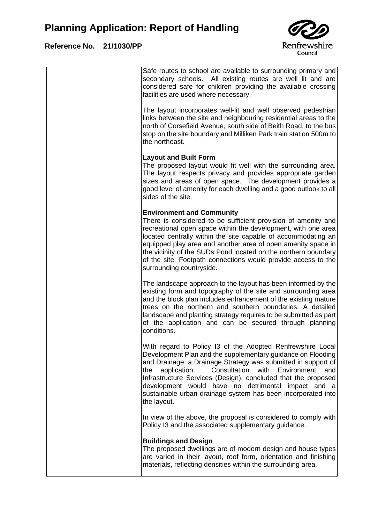

| Safe routes to school are available to surrounding primary and<br>secondary schools. All existing routes are well lit and are<br>considered safe for children providing the available crossing<br>facilities are used where necessary.                                                                                                                                                                                                                                   |
|--------------------------------------------------------------------------------------------------------------------------------------------------------------------------------------------------------------------------------------------------------------------------------------------------------------------------------------------------------------------------------------------------------------------------------------------------------------------------|
| The layout incorporates well-lit and well observed pedestrian<br>links between the site and neighbouring residential areas to the<br>north of Corsefield Avenue, south side of Beith Road, to the bus<br>stop on the site boundary and Milliken Park train station 500m to<br>the northeast.                                                                                                                                                                             |
| <b>Layout and Built Form</b><br>The proposed layout would fit well with the surrounding area.<br>The layout respects privacy and provides appropriate garden<br>sizes and areas of open space. The development provides a<br>good level of amenity for each dwelling and a good outlook to all<br>sides of the site.                                                                                                                                                     |
| <b>Environment and Community</b><br>There is considered to be sufficient provision of amenity and<br>recreational open space within the development, with one area<br>located centrally within the site capable of accommodating an<br>equipped play area and another area of open amenity space in<br>the vicinity of the SUDs Pond located on the northern boundary<br>of the site. Footpath connections would provide access to the<br>surrounding countryside.       |
| The landscape approach to the layout has been informed by the<br>existing form and topography of the site and surrounding area<br>and the block plan includes enhancement of the existing mature<br>trees on the northern and southern boundaries. A detailed<br>landscape and planting strategy requires to be submitted as part<br>of the application and can be secured through planning<br>conditions.                                                               |
| With regard to Policy I3 of the Adopted Renfrewshire Local<br>Development Plan and the supplementary guidance on Flooding<br>and Drainage, a Drainage Strategy was submitted in support of<br>application.<br>Consultation<br>with<br>Environment<br>the<br>and<br>Infrastructure Services (Design), concluded that the proposed<br>development would have no detrimental<br>impact and a<br>sustainable urban drainage system has been incorporated into<br>the layout. |
| In view of the above, the proposal is considered to comply with<br>Policy I3 and the associated supplementary guidance.                                                                                                                                                                                                                                                                                                                                                  |
| <b>Buildings and Design</b><br>The proposed dwellings are of modern design and house types<br>are varied in their layout, roof form, orientation and finishing<br>materials, reflecting densities within the surrounding area.                                                                                                                                                                                                                                           |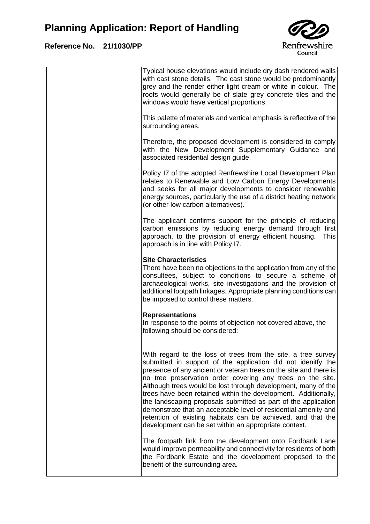### **Reference No. 21/1030/PP**

 $\overline{1}$ 



|  | Typical house elevations would include dry dash rendered walls<br>with cast stone details. The cast stone would be predominantly<br>grey and the render either light cream or white in colour. The<br>roofs would generally be of slate grey concrete tiles and the<br>windows would have vertical proportions.                                                                                                                                                                                                                                                                                                                                                   |
|--|-------------------------------------------------------------------------------------------------------------------------------------------------------------------------------------------------------------------------------------------------------------------------------------------------------------------------------------------------------------------------------------------------------------------------------------------------------------------------------------------------------------------------------------------------------------------------------------------------------------------------------------------------------------------|
|  | This palette of materials and vertical emphasis is reflective of the<br>surrounding areas.                                                                                                                                                                                                                                                                                                                                                                                                                                                                                                                                                                        |
|  | Therefore, the proposed development is considered to comply<br>with the New Development Supplementary Guidance and<br>associated residential design guide.                                                                                                                                                                                                                                                                                                                                                                                                                                                                                                        |
|  | Policy I7 of the adopted Renfrewshire Local Development Plan<br>relates to Renewable and Low Carbon Energy Developments<br>and seeks for all major developments to consider renewable<br>energy sources, particularly the use of a district heating network<br>(or other low carbon alternatives).                                                                                                                                                                                                                                                                                                                                                                |
|  | The applicant confirms support for the principle of reducing<br>carbon emissions by reducing energy demand through first<br>approach, to the provision of energy efficient housing.<br>This<br>approach is in line with Policy I7.                                                                                                                                                                                                                                                                                                                                                                                                                                |
|  | <b>Site Characteristics</b><br>There have been no objections to the application from any of the<br>consultees, subject to conditions to secure a scheme of<br>archaeological works, site investigations and the provision of<br>additional footpath linkages. Appropriate planning conditions can<br>be imposed to control these matters.                                                                                                                                                                                                                                                                                                                         |
|  | <b>Representations</b><br>In response to the points of objection not covered above, the<br>following should be considered:                                                                                                                                                                                                                                                                                                                                                                                                                                                                                                                                        |
|  | With regard to the loss of trees from the site, a tree survey<br>submitted in support of the application did not idenitfy the<br>presence of any ancient or veteran trees on the site and there is<br>no tree preservation order covering any trees on the site.<br>Although trees would be lost through development, many of the<br>trees have been retained within the development. Additionally,<br>the landscaping proposals submitted as part of the application<br>demonstrate that an acceptable level of residential amenity and<br>retention of existing habitats can be achieved, and that the<br>development can be set within an appropriate context. |
|  | The footpath link from the development onto Fordbank Lane<br>would improve permeability and connectivity for residents of both<br>the Fordbank Estate and the development proposed to the<br>benefit of the surrounding area.                                                                                                                                                                                                                                                                                                                                                                                                                                     |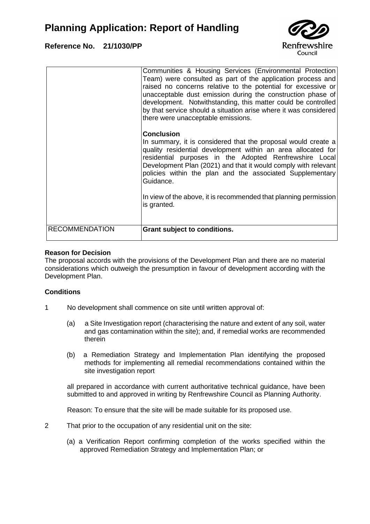### **Reference No. 21/1030/PP**



| <b>RECOMMENDATION</b> | Grant subject to conditions.                                                                                                                                                                                                                                                                                                                                                                                                                            |
|-----------------------|---------------------------------------------------------------------------------------------------------------------------------------------------------------------------------------------------------------------------------------------------------------------------------------------------------------------------------------------------------------------------------------------------------------------------------------------------------|
|                       | In summary, it is considered that the proposal would create a<br>quality residential development within an area allocated for<br>residential purposes in the Adopted Renfrewshire Local<br>Development Plan (2021) and that it would comply with relevant<br>policies within the plan and the associated Supplementary<br>Guidance.<br>In view of the above, it is recommended that planning permission<br>is granted.                                  |
|                       | Communities & Housing Services (Environmental Protection<br>Team) were consulted as part of the application process and<br>raised no concerns relative to the potential for excessive or<br>unacceptable dust emission during the construction phase of<br>development. Notwithstanding, this matter could be controlled<br>by that service should a situation arise where it was considered<br>there were unacceptable emissions.<br><b>Conclusion</b> |

#### **Reason for Decision**

The proposal accords with the provisions of the Development Plan and there are no material considerations which outweigh the presumption in favour of development according with the Development Plan.

#### **Conditions**

- 1 No development shall commence on site until written approval of:
	- (a) a Site Investigation report (characterising the nature and extent of any soil, water and gas contamination within the site); and, if remedial works are recommended therein
	- (b) a Remediation Strategy and Implementation Plan identifying the proposed methods for implementing all remedial recommendations contained within the site investigation report

all prepared in accordance with current authoritative technical guidance, have been submitted to and approved in writing by Renfrewshire Council as Planning Authority.

Reason: To ensure that the site will be made suitable for its proposed use.

- 2 That prior to the occupation of any residential unit on the site:
	- (a) a Verification Report confirming completion of the works specified within the approved Remediation Strategy and Implementation Plan; or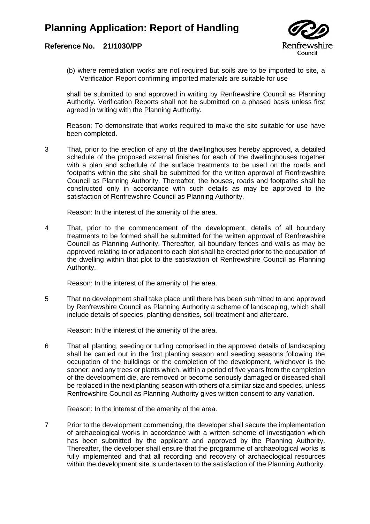#### **Reference No. 21/1030/PP**



(b) where remediation works are not required but soils are to be imported to site, a Verification Report confirming imported materials are suitable for use

shall be submitted to and approved in writing by Renfrewshire Council as Planning Authority. Verification Reports shall not be submitted on a phased basis unless first agreed in writing with the Planning Authority.

Reason: To demonstrate that works required to make the site suitable for use have been completed.

3 That, prior to the erection of any of the dwellinghouses hereby approved, a detailed schedule of the proposed external finishes for each of the dwellinghouses together with a plan and schedule of the surface treatments to be used on the roads and footpaths within the site shall be submitted for the written approval of Renfrewshire Council as Planning Authority. Thereafter, the houses, roads and footpaths shall be constructed only in accordance with such details as may be approved to the satisfaction of Renfrewshire Council as Planning Authority.

Reason: In the interest of the amenity of the area.

4 That, prior to the commencement of the development, details of all boundary treatments to be formed shall be submitted for the written approval of Renfrewshire Council as Planning Authority. Thereafter, all boundary fences and walls as may be approved relating to or adjacent to each plot shall be erected prior to the occupation of the dwelling within that plot to the satisfaction of Renfrewshire Council as Planning Authority.

Reason: In the interest of the amenity of the area.

5 That no development shall take place until there has been submitted to and approved by Renfrewshire Council as Planning Authority a scheme of landscaping, which shall include details of species, planting densities, soil treatment and aftercare.

Reason: In the interest of the amenity of the area.

6 That all planting, seeding or turfing comprised in the approved details of landscaping shall be carried out in the first planting season and seeding seasons following the occupation of the buildings or the completion of the development, whichever is the sooner; and any trees or plants which, within a period of five years from the completion of the development die, are removed or become seriously damaged or diseased shall be replaced in the next planting season with others of a similar size and species, unless Renfrewshire Council as Planning Authority gives written consent to any variation.

Reason: In the interest of the amenity of the area.

7 Prior to the development commencing, the developer shall secure the implementation of archaeological works in accordance with a written scheme of investigation which has been submitted by the applicant and approved by the Planning Authority. Thereafter, the developer shall ensure that the programme of archaeological works is fully implemented and that all recording and recovery of archaeological resources within the development site is undertaken to the satisfaction of the Planning Authority.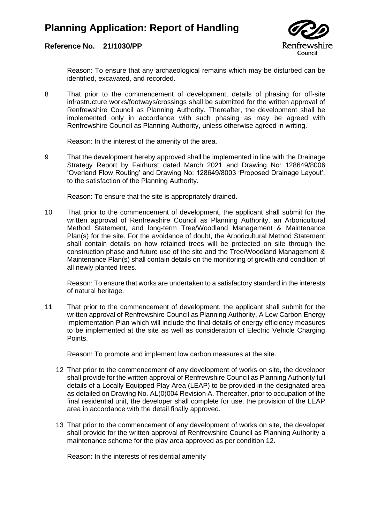

#### **Reference No. 21/1030/PP**

Reason: To ensure that any archaeological remains which may be disturbed can be identified, excavated, and recorded.

8 That prior to the commencement of development, details of phasing for off-site infrastructure works/footways/crossings shall be submitted for the written approval of Renfrewshire Council as Planning Authority. Thereafter, the development shall be implemented only in accordance with such phasing as may be agreed with Renfrewshire Council as Planning Authority, unless otherwise agreed in writing.

Reason: In the interest of the amenity of the area.

9 That the development hereby approved shall be implemented in line with the Drainage Strategy Report by Fairhurst dated March 2021 and Drawing No: 128649/8006 'Overland Flow Routing' and Drawing No: 128649/8003 'Proposed Drainage Layout', to the satisfaction of the Planning Authority.

Reason: To ensure that the site is appropriately drained.

10 That prior to the commencement of development, the applicant shall submit for the written approval of Renfrewshire Council as Planning Authority, an Arboricultural Method Statement, and long-term Tree/Woodland Management & Maintenance Plan(s) for the site. For the avoidance of doubt, the Arboricultural Method Statement shall contain details on how retained trees will be protected on site through the construction phase and future use of the site and the Tree/Woodland Management & Maintenance Plan(s) shall contain details on the monitoring of growth and condition of all newly planted trees.

Reason: To ensure that works are undertaken to a satisfactory standard in the interests of natural heritage.

11 That prior to the commencement of development, the applicant shall submit for the written approval of Renfrewshire Council as Planning Authority, A Low Carbon Energy Implementation Plan which will include the final details of energy efficiency measures to be implemented at the site as well as consideration of Electric Vehicle Charging Points.

Reason: To promote and implement low carbon measures at the site.

- 12 That prior to the commencement of any development of works on site, the developer shall provide for the written approval of Renfrewshire Council as Planning Authority full details of a Locally Equipped Play Area (LEAP) to be provided in the designated area as detailed on Drawing No. AL(0)004 Revision A. Thereafter, prior to occupation of the final residential unit, the developer shall complete for use, the provision of the LEAP area in accordance with the detail finally approved.
- 13 That prior to the commencement of any development of works on site, the developer shall provide for the written approval of Renfrewshire Council as Planning Authority a maintenance scheme for the play area approved as per condition 12.

Reason: In the interests of residential amenity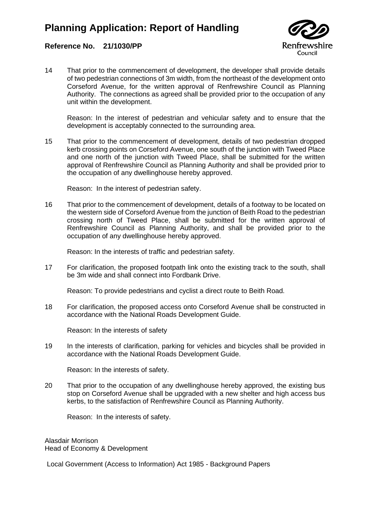

#### **Reference No. 21/1030/PP**

14 That prior to the commencement of development, the developer shall provide details of two pedestrian connections of 3m width, from the northeast of the development onto Corseford Avenue, for the written approval of Renfrewshire Council as Planning Authority. The connections as agreed shall be provided prior to the occupation of any unit within the development.

Reason: In the interest of pedestrian and vehicular safety and to ensure that the development is acceptably connected to the surrounding area.

15 That prior to the commencement of development, details of two pedestrian dropped kerb crossing points on Corseford Avenue, one south of the junction with Tweed Place and one north of the junction with Tweed Place, shall be submitted for the written approval of Renfrewshire Council as Planning Authority and shall be provided prior to the occupation of any dwellinghouse hereby approved.

Reason: In the interest of pedestrian safety.

16 That prior to the commencement of development, details of a footway to be located on the western side of Corseford Avenue from the junction of Beith Road to the pedestrian crossing north of Tweed Place, shall be submitted for the written approval of Renfrewshire Council as Planning Authority, and shall be provided prior to the occupation of any dwellinghouse hereby approved.

Reason: In the interests of traffic and pedestrian safety.

17 For clarification, the proposed footpath link onto the existing track to the south, shall be 3m wide and shall connect into Fordbank Drive.

Reason: To provide pedestrians and cyclist a direct route to Beith Road.

18 For clarification, the proposed access onto Corseford Avenue shall be constructed in accordance with the National Roads Development Guide.

Reason: In the interests of safety

19 In the interests of clarification, parking for vehicles and bicycles shall be provided in accordance with the National Roads Development Guide.

Reason: In the interests of safety.

20 That prior to the occupation of any dwellinghouse hereby approved, the existing bus stop on Corseford Avenue shall be upgraded with a new shelter and high access bus kerbs, to the satisfaction of Renfrewshire Council as Planning Authority.

Reason: In the interests of safety.

Alasdair Morrison Head of Economy & Development

Local Government (Access to Information) Act 1985 - Background Papers